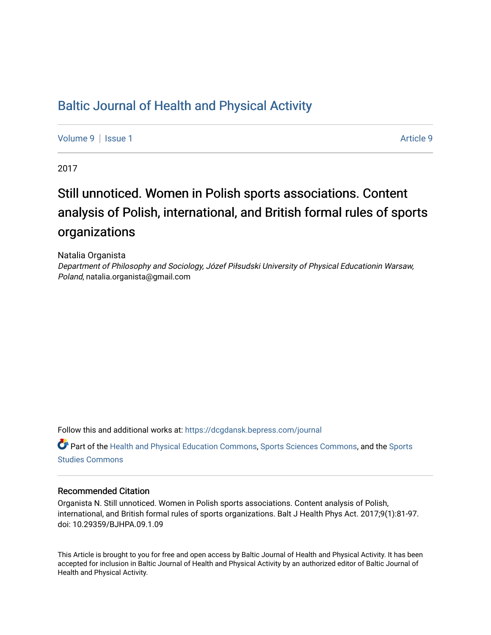## [Baltic Journal of Health and Physical Activity](https://dcgdansk.bepress.com/journal)

[Volume 9](https://dcgdansk.bepress.com/journal/vol9) | [Issue 1](https://dcgdansk.bepress.com/journal/vol9/iss1) [Article 9](https://dcgdansk.bepress.com/journal/vol9/iss1/9) | Article 9 | Article 9 | Article 9 | Article 9 | Article 9 | Article 9 | Article 9

2017

# Still unnoticed. Women in Polish sports associations. Content analysis of Polish, international, and British formal rules of sports organizations

Natalia Organista Department of Philosophy and Sociology, Józef Piłsudski University of Physical Educationin Warsaw, Poland, natalia.organista@gmail.com

Follow this and additional works at: [https://dcgdansk.bepress.com/journal](https://dcgdansk.bepress.com/journal?utm_source=dcgdansk.bepress.com%2Fjournal%2Fvol9%2Fiss1%2F9&utm_medium=PDF&utm_campaign=PDFCoverPages)

Part of the [Health and Physical Education Commons](http://network.bepress.com/hgg/discipline/1327?utm_source=dcgdansk.bepress.com%2Fjournal%2Fvol9%2Fiss1%2F9&utm_medium=PDF&utm_campaign=PDFCoverPages), [Sports Sciences Commons](http://network.bepress.com/hgg/discipline/759?utm_source=dcgdansk.bepress.com%2Fjournal%2Fvol9%2Fiss1%2F9&utm_medium=PDF&utm_campaign=PDFCoverPages), and the [Sports](http://network.bepress.com/hgg/discipline/1198?utm_source=dcgdansk.bepress.com%2Fjournal%2Fvol9%2Fiss1%2F9&utm_medium=PDF&utm_campaign=PDFCoverPages)  [Studies Commons](http://network.bepress.com/hgg/discipline/1198?utm_source=dcgdansk.bepress.com%2Fjournal%2Fvol9%2Fiss1%2F9&utm_medium=PDF&utm_campaign=PDFCoverPages) 

### Recommended Citation

Organista N. Still unnoticed. Women in Polish sports associations. Content analysis of Polish, international, and British formal rules of sports organizations. Balt J Health Phys Act. 2017;9(1):81-97. doi: 10.29359/BJHPA.09.1.09

This Article is brought to you for free and open access by Baltic Journal of Health and Physical Activity. It has been accepted for inclusion in Baltic Journal of Health and Physical Activity by an authorized editor of Baltic Journal of Health and Physical Activity.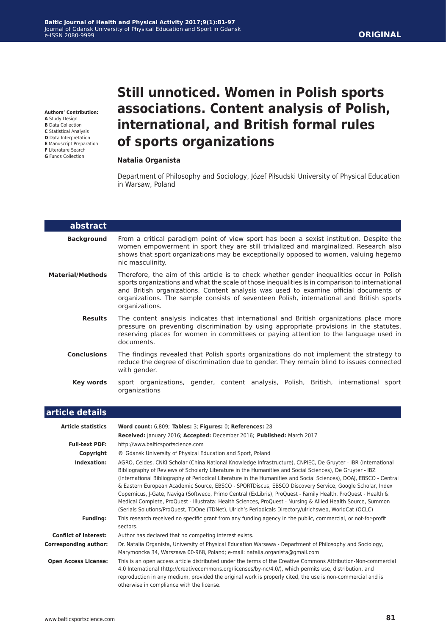**Authors' Contribution:**

- **A** Study Design
- **B** Data Collection
- **C** Statistical Analysis
- **D** Data Interpretation
- **E** Manuscript Preparation **F** Literature Search
- **G** Funds Collection

L

## **Still unnoticed. Women in Polish sports associations. Content analysis of Polish, international, and British formal rules of sports organizations**

#### **Natalia Organista**

Department of Philosophy and Sociology, Józef Piłsudski University of Physical Education in Warsaw, Poland

| abstract                |                                                                                                                                                                                                                                                                                                                                                                                                      |  |  |  |  |
|-------------------------|------------------------------------------------------------------------------------------------------------------------------------------------------------------------------------------------------------------------------------------------------------------------------------------------------------------------------------------------------------------------------------------------------|--|--|--|--|
| <b>Background</b>       | From a critical paradigm point of view sport has been a sexist institution. Despite the<br>women empowerment in sport they are still trivialized and marginalized. Research also<br>shows that sport organizations may be exceptionally opposed to women, valuing hegemo<br>nic masculinity.                                                                                                         |  |  |  |  |
| <b>Material/Methods</b> | Therefore, the aim of this article is to check whether gender inequalities occur in Polish<br>sports organizations and what the scale of those inequalities is in comparison to international<br>and British organizations. Content analysis was used to examine official documents of<br>organizations. The sample consists of seventeen Polish, international and British sports<br>organizations. |  |  |  |  |
| <b>Results</b>          | The content analysis indicates that international and British organizations place more<br>pressure on preventing discrimination by using appropriate provisions in the statutes,<br>reserving places for women in committees or paying attention to the language used in<br>documents.                                                                                                               |  |  |  |  |
| <b>Conclusions</b>      | The findings revealed that Polish sports organizations do not implement the strategy to<br>reduce the degree of discrimination due to gender. They remain blind to issues connected<br>with gender.                                                                                                                                                                                                  |  |  |  |  |
| Key words               | sport organizations, gender, content analysis, Polish, British, international sport<br>organizations                                                                                                                                                                                                                                                                                                 |  |  |  |  |

| article details              |                                                                                                                                                                                                                                                                                                                                                                                                                                                                                                                                                                                                                                                                                                                                                                                                      |
|------------------------------|------------------------------------------------------------------------------------------------------------------------------------------------------------------------------------------------------------------------------------------------------------------------------------------------------------------------------------------------------------------------------------------------------------------------------------------------------------------------------------------------------------------------------------------------------------------------------------------------------------------------------------------------------------------------------------------------------------------------------------------------------------------------------------------------------|
| <b>Article statistics</b>    | Word count: 6,809; Tables: 3; Figures: 0; References: 28                                                                                                                                                                                                                                                                                                                                                                                                                                                                                                                                                                                                                                                                                                                                             |
|                              | Received: January 2016; Accepted: December 2016; Published: March 2017                                                                                                                                                                                                                                                                                                                                                                                                                                                                                                                                                                                                                                                                                                                               |
| <b>Full-text PDF:</b>        | http://www.balticsportscience.com                                                                                                                                                                                                                                                                                                                                                                                                                                                                                                                                                                                                                                                                                                                                                                    |
| Copyright                    | © Gdansk University of Physical Education and Sport, Poland                                                                                                                                                                                                                                                                                                                                                                                                                                                                                                                                                                                                                                                                                                                                          |
| Indexation:                  | AGRO, Celdes, CNKI Scholar (China National Knowledge Infrastructure), CNPIEC, De Gruyter - IBR (International<br>Bibliography of Reviews of Scholarly Literature in the Humanities and Social Sciences), De Gruyter - IBZ<br>(International Bibliography of Periodical Literature in the Humanities and Social Sciences), DOAJ, EBSCO - Central<br>& Eastern European Academic Source, EBSCO - SPORTDiscus, EBSCO Discovery Service, Google Scholar, Index<br>Copernicus, J-Gate, Naviga (Softweco, Primo Central (ExLibris), ProQuest - Family Health, ProQuest - Health &<br>Medical Complete, ProQuest - Illustrata: Health Sciences, ProQuest - Nursing & Allied Health Source, Summon<br>(Serials Solutions/ProQuest, TDOne (TDNet), Ulrich's Periodicals Directory/ulrichsweb, WorldCat (OCLC) |
| <b>Funding:</b>              | This research received no specific grant from any funding agency in the public, commercial, or not-for-profit<br>sectors.                                                                                                                                                                                                                                                                                                                                                                                                                                                                                                                                                                                                                                                                            |
| <b>Conflict of interest:</b> | Author has declared that no competing interest exists.                                                                                                                                                                                                                                                                                                                                                                                                                                                                                                                                                                                                                                                                                                                                               |
| Corresponding author:        | Dr. Natalia Organista, University of Physical Education Warsawa - Department of Philosophy and Sociology,<br>Marymoncka 34, Warszawa 00-968, Poland; e-mail: natalia.organista@gmail.com                                                                                                                                                                                                                                                                                                                                                                                                                                                                                                                                                                                                             |
| <b>Open Access License:</b>  | This is an open access article distributed under the terms of the Creative Commons Attribution-Non-commercial<br>4.0 International (http://creativecommons.org/licenses/by-nc/4.0/), which permits use, distribution, and<br>reproduction in any medium, provided the original work is properly cited, the use is non-commercial and is<br>otherwise in compliance with the license.                                                                                                                                                                                                                                                                                                                                                                                                                 |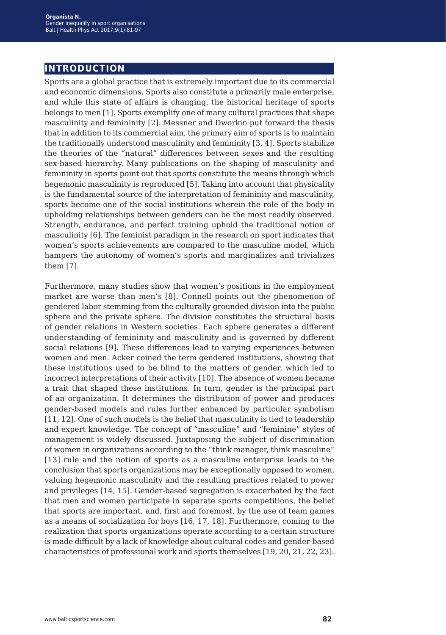## **introduction**

Sports are a global practice that is extremely important due to its commercial and economic dimensions. Sports also constitute a primarily male enterprise, and while this state of affairs is changing, the historical heritage of sports belongs to men [1]. Sports exemplify one of many cultural practices that shape masculinity and femininity [2]. Messner and Dworkin put forward the thesis that in addition to its commercial aim, the primary aim of sports is to maintain the traditionally understood masculinity and femininity [3, 4]. Sports stabilize the theories of the "natural" differences between sexes and the resulting sex-based hierarchy. Many publications on the shaping of masculinity and femininity in sports point out that sports constitute the means through which hegemonic masculinity is reproduced [5]. Taking into account that physicality is the fundamental source of the interpretation of femininity and masculinity, sports become one of the social institutions wherein the role of the body in upholding relationships between genders can be the most readily observed. Strength, endurance, and perfect training uphold the traditional notion of masculinity [6]. The feminist paradigm in the research on sport indicates that women's sports achievements are compared to the masculine model, which hampers the autonomy of women's sports and marginalizes and trivializes them [7].

Furthermore, many studies show that women's positions in the employment market are worse than men's [8]. Connell points out the phenomenon of gendered labor stemming from the culturally grounded division into the public sphere and the private sphere. The division constitutes the structural basis of gender relations in Western societies. Each sphere generates a different understanding of femininity and masculinity and is governed by different social relations [9]. These differences lead to varying experiences between women and men. Acker coined the term gendered institutions, showing that these institutions used to be blind to the matters of gender, which led to incorrect interpretations of their activity [10]. The absence of women became a trait that shaped these institutions. In turn, gender is the principal part of an organization. It determines the distribution of power and produces gender-based models and rules further enhanced by particular symbolism [11, 12]. One of such models is the belief that masculinity is tied to leadership and expert knowledge. The concept of "masculine" and "feminine" styles of management is widely discussed. Juxtaposing the subject of discrimination of women in organizations according to the "think manager, think masculine" [13] rule and the notion of sports as a masculine enterprise leads to the conclusion that sports organizations may be exceptionally opposed to women, valuing hegemonic masculinity and the resulting practices related to power and privileges [14, 15]. Gender-based segregation is exacerbated by the fact that men and women participate in separate sports competitions, the belief that sports are important, and, first and foremost, by the use of team games as a means of socialization for boys [16, 17, 18]. Furthermore, coming to the realization that sports organizations operate according to a certain structure is made difficult by a lack of knowledge about cultural codes and gender-based characteristics of professional work and sports themselves [19, 20, 21, 22, 23].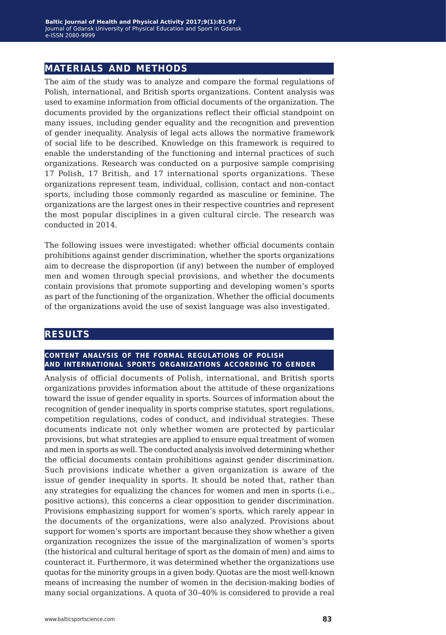## **materials and methods**

The aim of the study was to analyze and compare the formal regulations of Polish, international, and British sports organizations. Content analysis was used to examine information from official documents of the organization. The documents provided by the organizations reflect their official standpoint on many issues, including gender equality and the recognition and prevention of gender inequality. Analysis of legal acts allows the normative framework of social life to be described. Knowledge on this framework is required to enable the understanding of the functioning and internal practices of such organizations. Research was conducted on a purposive sample comprising 17 Polish, 17 British, and 17 international sports organizations. These organizations represent team, individual, collision, contact and non-contact sports, including those commonly regarded as masculine or feminine. The organizations are the largest ones in their respective countries and represent the most popular disciplines in a given cultural circle. The research was conducted in 2014.

The following issues were investigated: whether official documents contain prohibitions against gender discrimination, whether the sports organizations aim to decrease the disproportion (if any) between the number of employed men and women through special provisions, and whether the documents contain provisions that promote supporting and developing women's sports as part of the functioning of the organization. Whether the official documents of the organizations avoid the use of sexist language was also investigated.

### **results**

#### **content analysis of the formal regulations of polish and international sports organizations according to gender**

Analysis of official documents of Polish, international, and British sports organizations provides information about the attitude of these organizations toward the issue of gender equality in sports. Sources of information about the recognition of gender inequality in sports comprise statutes, sport regulations, competition regulations, codes of conduct, and individual strategies. These documents indicate not only whether women are protected by particular provisions, but what strategies are applied to ensure equal treatment of women and men in sports as well. The conducted analysis involved determining whether the official documents contain prohibitions against gender discrimination. Such provisions indicate whether a given organization is aware of the issue of gender inequality in sports. It should be noted that, rather than any strategies for equalizing the chances for women and men in sports (i.e., positive actions), this concerns a clear opposition to gender discrimination. Provisions emphasizing support for women's sports, which rarely appear in the documents of the organizations, were also analyzed. Provisions about support for women's sports are important because they show whether a given organization recognizes the issue of the marginalization of women's sports (the historical and cultural heritage of sport as the domain of men) and aims to counteract it. Furthermore, it was determined whether the organizations use quotas for the minority groups in a given body. Quotas are the most well-known means of increasing the number of women in the decision-making bodies of many social organizations. A quota of 30–40% is considered to provide a real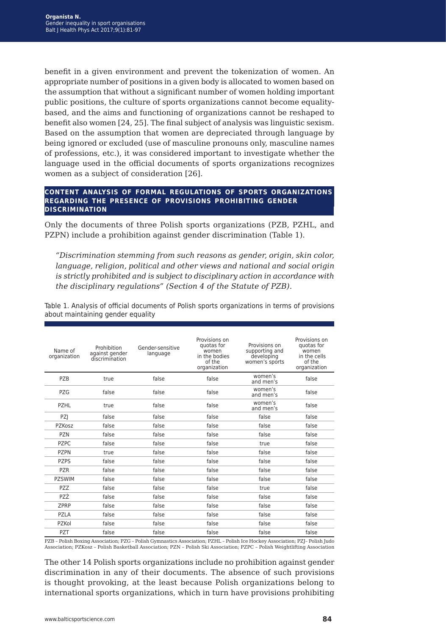benefit in a given environment and prevent the tokenization of women. An appropriate number of positions in a given body is allocated to women based on the assumption that without a significant number of women holding important public positions, the culture of sports organizations cannot become equalitybased, and the aims and functioning of organizations cannot be reshaped to benefit also women [24, 25]. The final subject of analysis was linguistic sexism. Based on the assumption that women are depreciated through language by being ignored or excluded (use of masculine pronouns only, masculine names of professions, etc.), it was considered important to investigate whether the language used in the official documents of sports organizations recognizes women as a subject of consideration [26].

#### **content analysis of formal regulations of sports organizations regarding the presence of provisions prohibiting gender discrimination**

Only the documents of three Polish sports organizations (PZB, PZHL, and PZPN) include a prohibition against gender discrimination (Table 1).

*"Discrimination stemming from such reasons as gender, origin, skin color, language, religion, political and other views and national and social origin is strictly prohibited and is subject to disciplinary action in accordance with the disciplinary regulations" (Section 4 of the Statute of PZB).*

| Name of<br>organization | Prohibition<br>against gender<br>discrimination | Gender-sensitive<br>language | Provisions on<br>quotas for<br>women<br>in the bodies<br>of the<br>organization | Provisions on<br>supporting and<br>developing<br>women's sports | Provisions on<br>quotas for<br>women<br>in the cells<br>of the<br>organization |
|-------------------------|-------------------------------------------------|------------------------------|---------------------------------------------------------------------------------|-----------------------------------------------------------------|--------------------------------------------------------------------------------|
| PZB                     | true                                            | false                        | false                                                                           | women's<br>and men's                                            | false                                                                          |
| PZG                     | false                                           | false                        | false                                                                           | women's<br>and men's                                            | false                                                                          |
| PZHL                    | true                                            | false                        | false                                                                           | women's<br>and men's                                            | false                                                                          |
| <b>PZI</b>              | false                                           | false                        | false                                                                           | false                                                           | false                                                                          |
| PZKosz                  | false                                           | false                        | false                                                                           | false                                                           | false                                                                          |
| <b>PZN</b>              | false                                           | false                        | false                                                                           | false                                                           | false                                                                          |
| <b>PZPC</b>             | false                                           | false                        | false                                                                           | true                                                            | false                                                                          |
| <b>PZPN</b>             | true                                            | false                        | false                                                                           | false                                                           | false                                                                          |
| <b>PZPS</b>             | false                                           | false                        | false                                                                           | false                                                           | false                                                                          |
| <b>PZR</b>              | false                                           | false                        | false                                                                           | false                                                           | false                                                                          |
| <b>PZSWIM</b>           | false                                           | false                        | false                                                                           | false                                                           | false                                                                          |
| PZZ                     | false                                           | false                        | false                                                                           | true                                                            | false                                                                          |
| PZŻ                     | false                                           | false                        | false                                                                           | false                                                           | false                                                                          |
| <b>ZPRP</b>             | false                                           | false                        | false                                                                           | false                                                           | false                                                                          |
| PZLA                    | false                                           | false                        | false                                                                           | false                                                           | false                                                                          |
| PZKol                   | false                                           | false                        | false                                                                           | false                                                           | false                                                                          |
| PZT                     | false                                           | false                        | false                                                                           | false                                                           | false                                                                          |

Table 1. Analysis of official documents of Polish sports organizations in terms of provisions about maintaining gender equality

PZB – Polish Boxing Association; PZG – Polish Gymnastics Association; PZHL – Polish Ice Hockey Association; PZJ– Polish Judo Association; PZKosz – Polish Basketball Association; PZN – Polish Ski Association; PZPC – Polish Weightlifting Association

The other 14 Polish sports organizations include no prohibition against gender discrimination in any of their documents. The absence of such provisions is thought provoking, at the least because Polish organizations belong to international sports organizations, which in turn have provisions prohibiting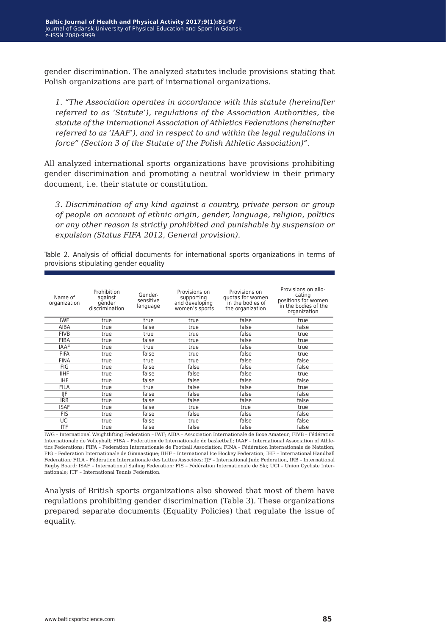gender discrimination. The analyzed statutes include provisions stating that Polish organizations are part of international organizations.

*1. "The Association operates in accordance with this statute (hereinafter referred to as 'Statute'), regulations of the Association Authorities, the statute of the International Association of Athletics Federations (hereinafter referred to as 'IAAF'), and in respect to and within the legal regulations in force" (Section 3 of the Statute of the Polish Athletic Association)".*

All analyzed international sports organizations have provisions prohibiting gender discrimination and promoting a neutral worldview in their primary document, i.e. their statute or constitution.

*3. Discrimination of any kind against a country, private person or group of people on account of ethnic origin, gender, language, religion, politics or any other reason is strictly prohibited and punishable by suspension or expulsion (Status FIFA 2012, General provision).*

Table 2. Analysis of official documents for international sports organizations in terms of provisions stipulating gender equality

| Name of<br>organization | Prohibition<br>against<br>gender<br>discrimination | Gender-<br>sensitive<br>language | Provisions on<br>supporting<br>and developing<br>women's sports | Provisions on<br>quotas for women<br>in the bodies of<br>the organization | Provisions on allo-<br>cating<br>positions for women<br>in the bodies of the<br>organization |
|-------------------------|----------------------------------------------------|----------------------------------|-----------------------------------------------------------------|---------------------------------------------------------------------------|----------------------------------------------------------------------------------------------|
| <b>IWF</b>              | true                                               | true                             | true                                                            | false                                                                     | true                                                                                         |
| AIBA                    | true                                               | false                            | true                                                            | false                                                                     | false                                                                                        |
| <b>FIVB</b>             | true                                               | true                             | true                                                            | false                                                                     | true                                                                                         |
| <b>FIBA</b>             | true                                               | false                            | true                                                            | false                                                                     | true                                                                                         |
| <b>IAAF</b>             | true                                               | true                             | true                                                            | false                                                                     | true                                                                                         |
| <b>FIFA</b>             | true                                               | false                            | true                                                            | false                                                                     | true                                                                                         |
| <b>FINA</b>             | true                                               | true                             | true                                                            | false                                                                     | false                                                                                        |
| FIG                     | true                                               | false                            | false                                                           | false                                                                     | false                                                                                        |
| <b>IIHF</b>             | true                                               | false                            | false                                                           | false                                                                     | true                                                                                         |
| <b>IHF</b>              | true                                               | false                            | false                                                           | false                                                                     | false                                                                                        |
| <b>FILA</b>             | true                                               | true                             | false                                                           | false                                                                     | true                                                                                         |
| IIF                     | true                                               | false                            | false                                                           | false                                                                     | false                                                                                        |
| <b>IRB</b>              | true                                               | false                            | false                                                           | false                                                                     | false                                                                                        |
| <b>ISAF</b>             | true                                               | false                            | true                                                            | true                                                                      | true                                                                                         |
| <b>FIS</b>              | true                                               | false                            | false                                                           | false                                                                     | false                                                                                        |
| UCI                     | true                                               | false                            | true                                                            | false                                                                     | false                                                                                        |
| <b>ITF</b>              | true                                               | false                            | false                                                           | false                                                                     | false                                                                                        |

IWG – International Weightlifting Federation – IWF; AIBA – Association Internationale de Boxe Amateur; FIVB – Fédération Internationale de Volleyball; FIBA – Federation de Internationale de basketball; IAAF – International Association of Athletics Federations; FIFA – Federation Internationale de Football Association; FINA – Fédération Internationale de Natation; FIG – Federation Internationale de Gimnastique; IIHF – International Ice Hockey Federation; IHF – International Handball Federation; FILA – Fédération Internationale des Luttes Associées; IJF – International Judo Federation, IRB – International Rugby Board; ISAF – International Sailing Federation; FIS – Fédération Internationale de Ski; UCI – Union Cycliste Internationale; ITF – International Tennis Federation.

Analysis of British sports organizations also showed that most of them have regulations prohibiting gender discrimination (Table 3). These organizations prepared separate documents (Equality Policies) that regulate the issue of equality.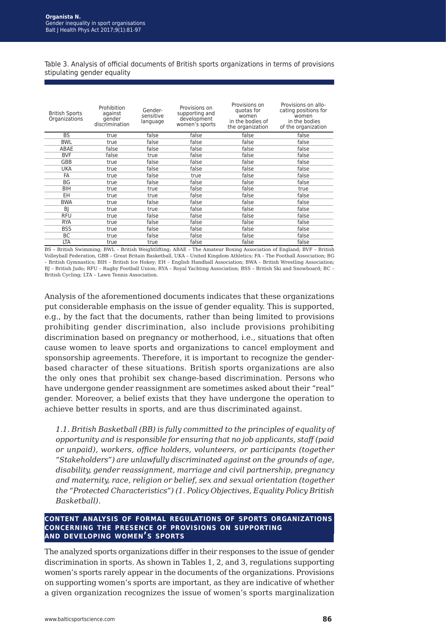Table 3. Analysis of official documents of British sports organizations in terms of provisions stipulating gender equality

| <b>British Sports</b><br>Organizations | Prohibition<br>against<br>gender<br>discrimination | Gender-<br>sensitive<br>language | Provisions on<br>supporting and<br>development<br>women's sports | Provisions on<br>quotas for<br>women<br>in the bodies of<br>the organization | Provisions on allo-<br>cating positions for<br>women<br>in the bodies<br>of the organization |
|----------------------------------------|----------------------------------------------------|----------------------------------|------------------------------------------------------------------|------------------------------------------------------------------------------|----------------------------------------------------------------------------------------------|
| <b>BS</b>                              | true                                               | false                            | false                                                            | false                                                                        | false                                                                                        |
| <b>BWL</b>                             | true                                               | false                            | false                                                            | false                                                                        | false                                                                                        |
| ABAE                                   | false                                              | false                            | false                                                            | false                                                                        | false                                                                                        |
| <b>BVF</b>                             | false                                              | true                             | false                                                            | false                                                                        | false                                                                                        |
| GBB                                    | true                                               | false                            | false                                                            | false                                                                        | false                                                                                        |
| <b>UKA</b>                             | true                                               | false                            | false                                                            | false                                                                        | false                                                                                        |
| FA                                     | true                                               | false                            | true                                                             | false                                                                        | false                                                                                        |
| <b>BG</b>                              | true                                               | false                            | false                                                            | false                                                                        | false                                                                                        |
| <b>BIH</b>                             | true                                               | true                             | false                                                            | false                                                                        | true                                                                                         |
| EH                                     | true                                               | true                             | false                                                            | false                                                                        | false                                                                                        |
| <b>BWA</b>                             | true                                               | false                            | false                                                            | false                                                                        | false                                                                                        |
| BI                                     | true                                               | true                             | false                                                            | false                                                                        | false                                                                                        |
| <b>RFU</b>                             | true                                               | false                            | false                                                            | false                                                                        | false                                                                                        |
| <b>RYA</b>                             | true                                               | false                            | false                                                            | false                                                                        | false                                                                                        |
| <b>BSS</b>                             | true                                               | false                            | false                                                            | false                                                                        | false                                                                                        |
| BC                                     | true                                               | false                            | false                                                            | false                                                                        | false                                                                                        |
| LTA                                    | true                                               | true                             | false                                                            | false                                                                        | false                                                                                        |

BS – British Swimming; BWL – British Weightlifting; ABAE – The Amateur Boxing Association of England; BVF – British Volleyball Federation, GBB – Great Britain Basketball, UKA – United Kingdom Athletics; FA – The Football Association; BG – British Gymnastics; BIH – British Ice Hokey; EH – English Handball Association; BWA – British Wrestling Association; BJ – British Judo; RFU – Rugby Football Union; RYA – Royal Yachting Association; BSS – British Ski and Snowboard; BC – British Cycling; LTA – Lawn Tennis Association.

Analysis of the aforementioned documents indicates that these organizations put considerable emphasis on the issue of gender equality. This is supported, e.g., by the fact that the documents, rather than being limited to provisions prohibiting gender discrimination, also include provisions prohibiting discrimination based on pregnancy or motherhood, i.e., situations that often cause women to leave sports and organizations to cancel employment and sponsorship agreements. Therefore, it is important to recognize the genderbased character of these situations. British sports organizations are also the only ones that prohibit sex change-based discrimination. Persons who have undergone gender reassignment are sometimes asked about their "real" gender. Moreover, a belief exists that they have undergone the operation to achieve better results in sports, and are thus discriminated against.

*1.1. British Basketball (BB) is fully committed to the principles of equality of opportunity and is responsible for ensuring that no job applicants, staff (paid or unpaid), workers, office holders, volunteers, or participants (together "Stakeholders") are unlawfully discriminated against on the grounds of age, disability, gender reassignment, marriage and civil partnership, pregnancy and maternity, race, religion or belief, sex and sexual orientation (together the "Protected Characteristics") (1. Policy Objectives, Equality Policy British Basketball).*

#### **content analysis of formal regulations of sports organizations concerning the presence of provisions on supporting and developing women's sports**

The analyzed sports organizations differ in their responses to the issue of gender discrimination in sports. As shown in Tables 1, 2, and 3, regulations supporting women's sports rarely appear in the documents of the organizations. Provisions on supporting women's sports are important, as they are indicative of whether a given organization recognizes the issue of women's sports marginalization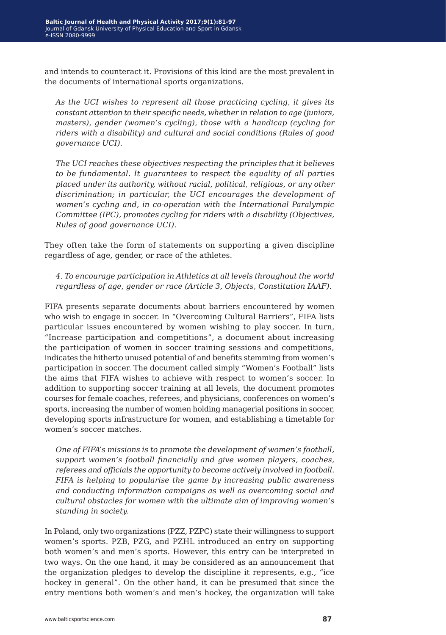and intends to counteract it. Provisions of this kind are the most prevalent in the documents of international sports organizations.

*As the UCI wishes to represent all those practicing cycling, it gives its constant attention to their specific needs, whether in relation to age (juniors, masters), gender (women's cycling), those with a handicap (cycling for riders with a disability) and cultural and social conditions (Rules of good governance UCI).*

*The UCI reaches these objectives respecting the principles that it believes to be fundamental. It guarantees to respect the equality of all parties placed under its authority, without racial, political, religious, or any other discrimination; in particular, the UCI encourages the development of women's cycling and, in co-operation with the International Paralympic Committee (IPC), promotes cycling for riders with a disability (Objectives, Rules of good governance UCI).*

They often take the form of statements on supporting a given discipline regardless of age, gender, or race of the athletes.

*4. To encourage participation in Athletics at all levels throughout the world regardless of age, gender or race (Article 3, Objects, Constitution IAAF).*

FIFA presents separate documents about barriers encountered by women who wish to engage in soccer. In "Overcoming Cultural Barriers", FIFA lists particular issues encountered by women wishing to play soccer. In turn, "Increase participation and competitions", a document about increasing the participation of women in soccer training sessions and competitions, indicates the hitherto unused potential of and benefits stemming from women's participation in soccer. The document called simply "Women's Football" lists the aims that FIFA wishes to achieve with respect to women's soccer. In addition to supporting soccer training at all levels, the document promotes courses for female coaches, referees, and physicians, conferences on women's sports, increasing the number of women holding managerial positions in soccer, developing sports infrastructure for women, and establishing a timetable for women's soccer matches.

*One of FIFA's missions is to promote the development of women's football, support women's football financially and give women players, coaches, referees and officials the opportunity to become actively involved in football. FIFA is helping to popularise the game by increasing public awareness and conducting information campaigns as well as overcoming social and cultural obstacles for women with the ultimate aim of improving women's standing in society.*

In Poland, only two organizations (PZZ, PZPC) state their willingness to support women's sports. PZB, PZG, and PZHL introduced an entry on supporting both women's and men's sports. However, this entry can be interpreted in two ways. On the one hand, it may be considered as an announcement that the organization pledges to develop the discipline it represents, e.g., "ice hockey in general". On the other hand, it can be presumed that since the entry mentions both women's and men's hockey, the organization will take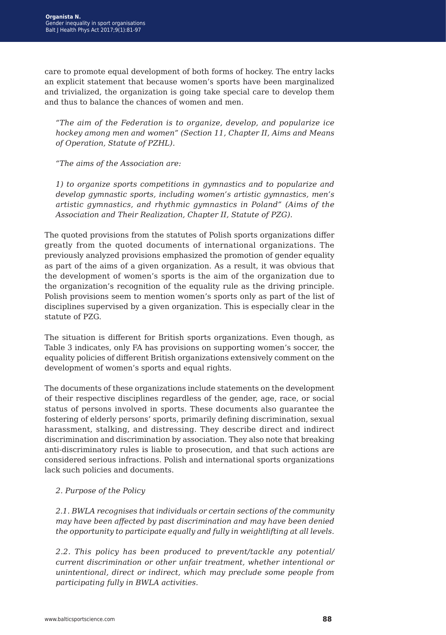care to promote equal development of both forms of hockey. The entry lacks an explicit statement that because women's sports have been marginalized and trivialized, the organization is going take special care to develop them and thus to balance the chances of women and men.

*"The aim of the Federation is to organize, develop, and popularize ice hockey among men and women" (Section 11, Chapter II, Aims and Means of Operation, Statute of PZHL).*

*"The aims of the Association are:*

*1) to organize sports competitions in gymnastics and to popularize and develop gymnastic sports, including women's artistic gymnastics, men's artistic gymnastics, and rhythmic gymnastics in Poland" (Aims of the Association and Their Realization, Chapter II, Statute of PZG).*

The quoted provisions from the statutes of Polish sports organizations differ greatly from the quoted documents of international organizations. The previously analyzed provisions emphasized the promotion of gender equality as part of the aims of a given organization. As a result, it was obvious that the development of women's sports is the aim of the organization due to the organization's recognition of the equality rule as the driving principle. Polish provisions seem to mention women's sports only as part of the list of disciplines supervised by a given organization. This is especially clear in the statute of PZG.

The situation is different for British sports organizations. Even though, as Table 3 indicates, only FA has provisions on supporting women's soccer, the equality policies of different British organizations extensively comment on the development of women's sports and equal rights.

The documents of these organizations include statements on the development of their respective disciplines regardless of the gender, age, race, or social status of persons involved in sports. These documents also guarantee the fostering of elderly persons' sports, primarily defining discrimination, sexual harassment, stalking, and distressing. They describe direct and indirect discrimination and discrimination by association. They also note that breaking anti-discriminatory rules is liable to prosecution, and that such actions are considered serious infractions. Polish and international sports organizations lack such policies and documents.

#### *2. Purpose of the Policy*

*2.1. BWLA recognises that individuals or certain sections of the community may have been affected by past discrimination and may have been denied the opportunity to participate equally and fully in weightlifting at all levels.*

*2.2. This policy has been produced to prevent/tackle any potential/ current discrimination or other unfair treatment, whether intentional or unintentional, direct or indirect, which may preclude some people from participating fully in BWLA activities.*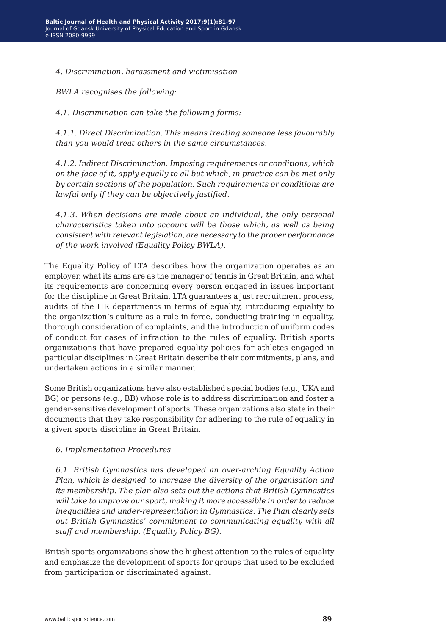*4. Discrimination, harassment and victimisation*

*BWLA recognises the following:*

*4.1. Discrimination can take the following forms:*

*4.1.1. Direct Discrimination. This means treating someone less favourably than you would treat others in the same circumstances.*

*4.1.2. Indirect Discrimination. Imposing requirements or conditions, which on the face of it, apply equally to all but which, in practice can be met only by certain sections of the population. Such requirements or conditions are lawful only if they can be objectively justified.*

*4.1.3. When decisions are made about an individual, the only personal characteristics taken into account will be those which, as well as being consistent with relevant legislation, are necessary to the proper performance of the work involved (Equality Policy BWLA).*

The Equality Policy of LTA describes how the organization operates as an employer, what its aims are as the manager of tennis in Great Britain, and what its requirements are concerning every person engaged in issues important for the discipline in Great Britain. LTA guarantees a just recruitment process, audits of the HR departments in terms of equality, introducing equality to the organization's culture as a rule in force, conducting training in equality, thorough consideration of complaints, and the introduction of uniform codes of conduct for cases of infraction to the rules of equality. British sports organizations that have prepared equality policies for athletes engaged in particular disciplines in Great Britain describe their commitments, plans, and undertaken actions in a similar manner.

Some British organizations have also established special bodies (e.g., UKA and BG) or persons (e.g., BB) whose role is to address discrimination and foster a gender-sensitive development of sports. These organizations also state in their documents that they take responsibility for adhering to the rule of equality in a given sports discipline in Great Britain.

#### *6. Implementation Procedures*

*6.1. British Gymnastics has developed an over-arching Equality Action Plan, which is designed to increase the diversity of the organisation and its membership. The plan also sets out the actions that British Gymnastics will take to improve our sport, making it more accessible in order to reduce inequalities and under-representation in Gymnastics. The Plan clearly sets out British Gymnastics' commitment to communicating equality with all staff and membership. (Equality Policy BG).*

British sports organizations show the highest attention to the rules of equality and emphasize the development of sports for groups that used to be excluded from participation or discriminated against.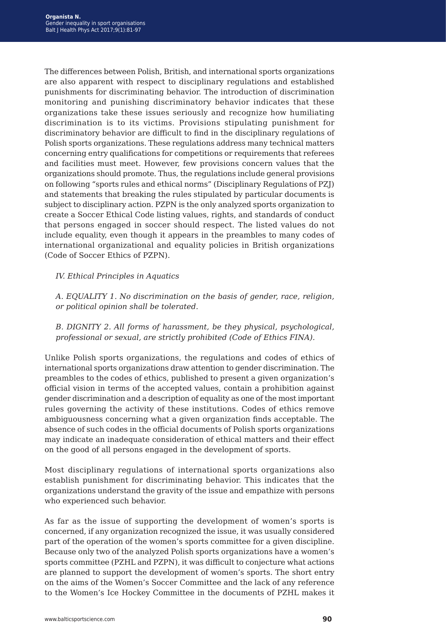The differences between Polish, British, and international sports organizations are also apparent with respect to disciplinary regulations and established punishments for discriminating behavior. The introduction of discrimination monitoring and punishing discriminatory behavior indicates that these organizations take these issues seriously and recognize how humiliating discrimination is to its victims. Provisions stipulating punishment for discriminatory behavior are difficult to find in the disciplinary regulations of Polish sports organizations. These regulations address many technical matters concerning entry qualifications for competitions or requirements that referees and facilities must meet. However, few provisions concern values that the organizations should promote. Thus, the regulations include general provisions on following "sports rules and ethical norms" (Disciplinary Regulations of PZJ) and statements that breaking the rules stipulated by particular documents is subject to disciplinary action. PZPN is the only analyzed sports organization to create a Soccer Ethical Code listing values, rights, and standards of conduct that persons engaged in soccer should respect. The listed values do not include equality, even though it appears in the preambles to many codes of international organizational and equality policies in British organizations (Code of Soccer Ethics of PZPN).

#### *IV. Ethical Principles in Aquatics*

*A. EQUALITY 1. No discrimination on the basis of gender, race, religion, or political opinion shall be tolerated.*

*B. DIGNITY 2. All forms of harassment, be they physical, psychological, professional or sexual, are strictly prohibited (Code of Ethics FINA).*

Unlike Polish sports organizations, the regulations and codes of ethics of international sports organizations draw attention to gender discrimination. The preambles to the codes of ethics, published to present a given organization's official vision in terms of the accepted values, contain a prohibition against gender discrimination and a description of equality as one of the most important rules governing the activity of these institutions. Codes of ethics remove ambiguousness concerning what a given organization finds acceptable. The absence of such codes in the official documents of Polish sports organizations may indicate an inadequate consideration of ethical matters and their effect on the good of all persons engaged in the development of sports.

Most disciplinary regulations of international sports organizations also establish punishment for discriminating behavior. This indicates that the organizations understand the gravity of the issue and empathize with persons who experienced such behavior.

As far as the issue of supporting the development of women's sports is concerned, if any organization recognized the issue, it was usually considered part of the operation of the women's sports committee for a given discipline. Because only two of the analyzed Polish sports organizations have a women's sports committee (PZHL and PZPN), it was difficult to conjecture what actions are planned to support the development of women's sports. The short entry on the aims of the Women's Soccer Committee and the lack of any reference to the Women's Ice Hockey Committee in the documents of PZHL makes it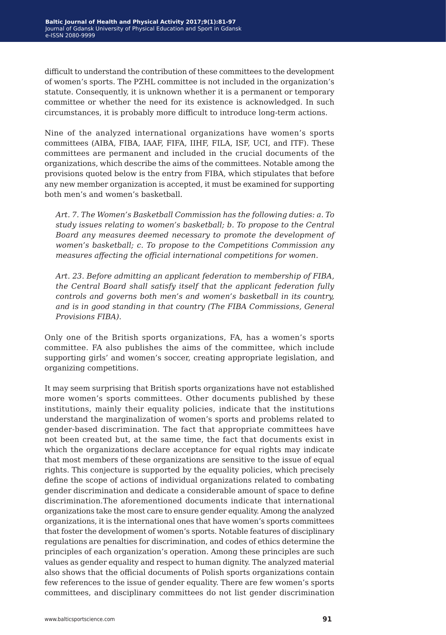difficult to understand the contribution of these committees to the development of women's sports. The PZHL committee is not included in the organization's statute. Consequently, it is unknown whether it is a permanent or temporary committee or whether the need for its existence is acknowledged. In such circumstances, it is probably more difficult to introduce long-term actions.

Nine of the analyzed international organizations have women's sports committees (AIBA, FIBA, IAAF, FIFA, IIHF, FILA, ISF, UCI, and ITF). These committees are permanent and included in the crucial documents of the organizations, which describe the aims of the committees. Notable among the provisions quoted below is the entry from FIBA, which stipulates that before any new member organization is accepted, it must be examined for supporting both men's and women's basketball.

*Art. 7. The Women's Basketball Commission has the following duties: a. To study issues relating to women's basketball; b. To propose to the Central Board any measures deemed necessary to promote the development of women's basketball; c. To propose to the Competitions Commission any measures affecting the official international competitions for women.*

*Art. 23. Before admitting an applicant federation to membership of FIBA, the Central Board shall satisfy itself that the applicant federation fully controls and governs both men's and women's basketball in its country, and is in good standing in that country (The FIBA Commissions, General Provisions FIBA).*

Only one of the British sports organizations, FA, has a women's sports committee. FA also publishes the aims of the committee, which include supporting girls' and women's soccer, creating appropriate legislation, and organizing competitions.

It may seem surprising that British sports organizations have not established more women's sports committees. Other documents published by these institutions, mainly their equality policies, indicate that the institutions understand the marginalization of women's sports and problems related to gender-based discrimination. The fact that appropriate committees have not been created but, at the same time, the fact that documents exist in which the organizations declare acceptance for equal rights may indicate that most members of these organizations are sensitive to the issue of equal rights. This conjecture is supported by the equality policies, which precisely define the scope of actions of individual organizations related to combating gender discrimination and dedicate a considerable amount of space to define discrimination.The aforementioned documents indicate that international organizations take the most care to ensure gender equality. Among the analyzed organizations, it is the international ones that have women's sports committees that foster the development of women's sports. Notable features of disciplinary regulations are penalties for discrimination, and codes of ethics determine the principles of each organization's operation. Among these principles are such values as gender equality and respect to human dignity. The analyzed material also shows that the official documents of Polish sports organizations contain few references to the issue of gender equality. There are few women's sports committees, and disciplinary committees do not list gender discrimination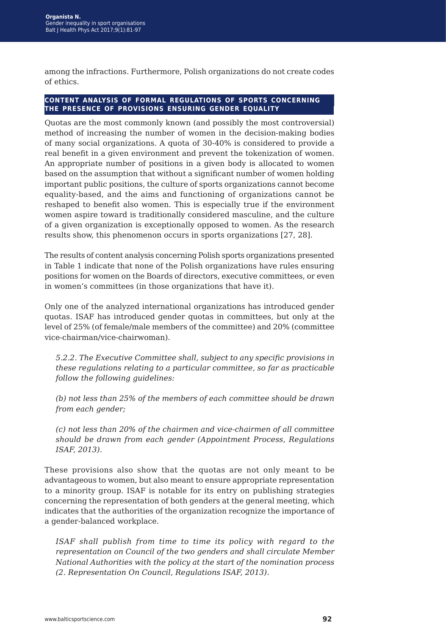among the infractions. Furthermore, Polish organizations do not create codes of ethics.

#### **content analysis of formal regulations of sports concerning the presence of provisions ensuring gender equality**

Quotas are the most commonly known (and possibly the most controversial) method of increasing the number of women in the decision-making bodies of many social organizations. A quota of 30-40% is considered to provide a real benefit in a given environment and prevent the tokenization of women. An appropriate number of positions in a given body is allocated to women based on the assumption that without a significant number of women holding important public positions, the culture of sports organizations cannot become equality-based, and the aims and functioning of organizations cannot be reshaped to benefit also women. This is especially true if the environment women aspire toward is traditionally considered masculine, and the culture of a given organization is exceptionally opposed to women. As the research results show, this phenomenon occurs in sports organizations [27, 28].

The results of content analysis concerning Polish sports organizations presented in Table 1 indicate that none of the Polish organizations have rules ensuring positions for women on the Boards of directors, executive committees, or even in women's committees (in those organizations that have it).

Only one of the analyzed international organizations has introduced gender quotas. ISAF has introduced gender quotas in committees, but only at the level of 25% (of female/male members of the committee) and 20% (committee vice-chairman/vice-chairwoman).

*5.2.2. The Executive Committee shall, subject to any specific provisions in these regulations relating to a particular committee, so far as practicable follow the following guidelines:*

*(b) not less than 25% of the members of each committee should be drawn from each gender;*

*(c) not less than 20% of the chairmen and vice-chairmen of all committee should be drawn from each gender (Appointment Process, Regulations ISAF, 2013).*

These provisions also show that the quotas are not only meant to be advantageous to women, but also meant to ensure appropriate representation to a minority group. ISAF is notable for its entry on publishing strategies concerning the representation of both genders at the general meeting, which indicates that the authorities of the organization recognize the importance of a gender-balanced workplace.

*ISAF shall publish from time to time its policy with regard to the representation on Council of the two genders and shall circulate Member National Authorities with the policy at the start of the nomination process (2. Representation On Council, Regulations ISAF, 2013).*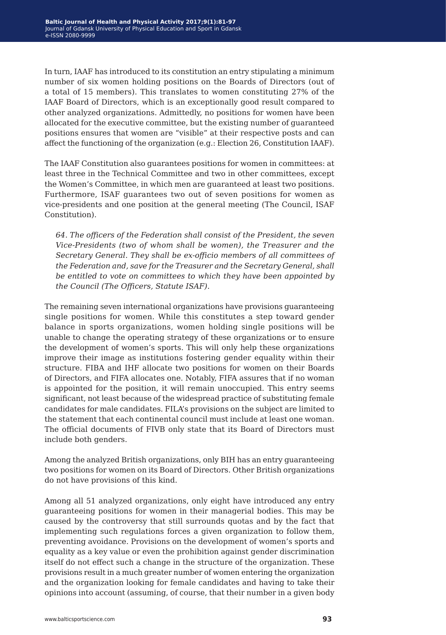In turn, IAAF has introduced to its constitution an entry stipulating a minimum number of six women holding positions on the Boards of Directors (out of a total of 15 members). This translates to women constituting 27% of the IAAF Board of Directors, which is an exceptionally good result compared to other analyzed organizations. Admittedly, no positions for women have been allocated for the executive committee, but the existing number of guaranteed positions ensures that women are "visible" at their respective posts and can affect the functioning of the organization (e.g.: Election 26, Constitution IAAF).

The IAAF Constitution also guarantees positions for women in committees: at least three in the Technical Committee and two in other committees, except the Women's Committee, in which men are guaranteed at least two positions. Furthermore, ISAF guarantees two out of seven positions for women as vice-presidents and one position at the general meeting (The Council, ISAF Constitution).

*64. The officers of the Federation shall consist of the President, the seven Vice-Presidents (two of whom shall be women), the Treasurer and the Secretary General. They shall be ex-officio members of all committees of the Federation and, save for the Treasurer and the Secretary General, shall be entitled to vote on committees to which they have been appointed by the Council (The Officers, Statute ISAF).*

The remaining seven international organizations have provisions guaranteeing single positions for women. While this constitutes a step toward gender balance in sports organizations, women holding single positions will be unable to change the operating strategy of these organizations or to ensure the development of women's sports. This will only help these organizations improve their image as institutions fostering gender equality within their structure. FIBA and IHF allocate two positions for women on their Boards of Directors, and FIFA allocates one. Notably, FIFA assures that if no woman is appointed for the position, it will remain unoccupied. This entry seems significant, not least because of the widespread practice of substituting female candidates for male candidates. FILA's provisions on the subject are limited to the statement that each continental council must include at least one woman. The official documents of FIVB only state that its Board of Directors must include both genders.

Among the analyzed British organizations, only BIH has an entry guaranteeing two positions for women on its Board of Directors. Other British organizations do not have provisions of this kind.

Among all 51 analyzed organizations, only eight have introduced any entry guaranteeing positions for women in their managerial bodies. This may be caused by the controversy that still surrounds quotas and by the fact that implementing such regulations forces a given organization to follow them, preventing avoidance. Provisions on the development of women's sports and equality as a key value or even the prohibition against gender discrimination itself do not effect such a change in the structure of the organization. These provisions result in a much greater number of women entering the organization and the organization looking for female candidates and having to take their opinions into account (assuming, of course, that their number in a given body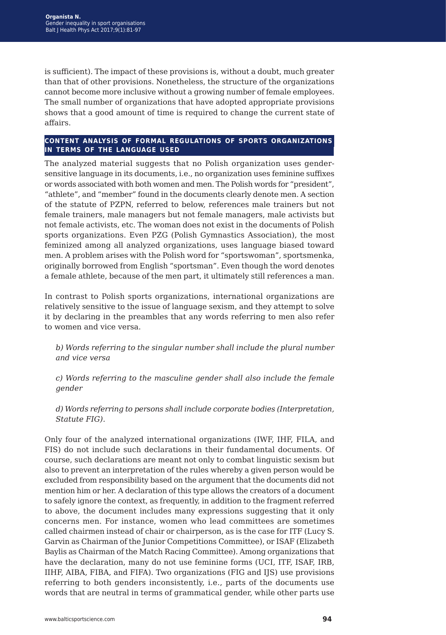is sufficient). The impact of these provisions is, without a doubt, much greater than that of other provisions. Nonetheless, the structure of the organizations cannot become more inclusive without a growing number of female employees. The small number of organizations that have adopted appropriate provisions shows that a good amount of time is required to change the current state of affairs.

#### **content analysis of formal regulations of sports organizations in terms of the language used**

The analyzed material suggests that no Polish organization uses gendersensitive language in its documents, i.e., no organization uses feminine suffixes or words associated with both women and men. The Polish words for "president", "athlete", and "member" found in the documents clearly denote men. A section of the statute of PZPN, referred to below, references male trainers but not female trainers, male managers but not female managers, male activists but not female activists, etc. The woman does not exist in the documents of Polish sports organizations. Even PZG (Polish Gymnastics Association), the most feminized among all analyzed organizations, uses language biased toward men. A problem arises with the Polish word for "sportswoman", sportsmenka, originally borrowed from English "sportsman". Even though the word denotes a female athlete, because of the men part, it ultimately still references a man.

In contrast to Polish sports organizations, international organizations are relatively sensitive to the issue of language sexism, and they attempt to solve it by declaring in the preambles that any words referring to men also refer to women and vice versa.

*b) Words referring to the singular number shall include the plural number and vice versa*

*c) Words referring to the masculine gender shall also include the female gender*

*d) Words referring to persons shall include corporate bodies (Interpretation, Statute FIG).*

Only four of the analyzed international organizations (IWF, IHF, FILA, and FIS) do not include such declarations in their fundamental documents. Of course, such declarations are meant not only to combat linguistic sexism but also to prevent an interpretation of the rules whereby a given person would be excluded from responsibility based on the argument that the documents did not mention him or her. A declaration of this type allows the creators of a document to safely ignore the context, as frequently, in addition to the fragment referred to above, the document includes many expressions suggesting that it only concerns men. For instance, women who lead committees are sometimes called chairmen instead of chair or chairperson, as is the case for ITF (Lucy S. Garvin as Chairman of the Junior Competitions Committee), or ISAF (Elizabeth Baylis as Chairman of the Match Racing Committee). Among organizations that have the declaration, many do not use feminine forms (UCI, ITF, ISAF, IRB, IIHF, AIBA, FIBA, and FIFA). Two organizations (FIG and IJS) use provisions referring to both genders inconsistently, i.e., parts of the documents use words that are neutral in terms of grammatical gender, while other parts use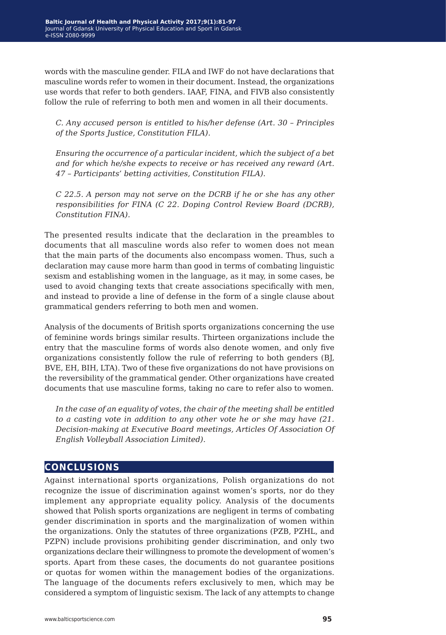words with the masculine gender. FILA and IWF do not have declarations that masculine words refer to women in their document. Instead, the organizations use words that refer to both genders. IAAF, FINA, and FIVB also consistently follow the rule of referring to both men and women in all their documents.

*C. Any accused person is entitled to his/her defense (Art. 30 – Principles of the Sports Justice, Constitution FILA).*

*Ensuring the occurrence of a particular incident, which the subject of a bet and for which he/she expects to receive or has received any reward (Art. 47 – Participants' betting activities, Constitution FILA).*

*C 22.5. A person may not serve on the DCRB if he or she has any other responsibilities for FINA (C 22. Doping Control Review Board (DCRB), Constitution FINA).*

The presented results indicate that the declaration in the preambles to documents that all masculine words also refer to women does not mean that the main parts of the documents also encompass women. Thus, such a declaration may cause more harm than good in terms of combating linguistic sexism and establishing women in the language, as it may, in some cases, be used to avoid changing texts that create associations specifically with men, and instead to provide a line of defense in the form of a single clause about grammatical genders referring to both men and women.

Analysis of the documents of British sports organizations concerning the use of feminine words brings similar results. Thirteen organizations include the entry that the masculine forms of words also denote women, and only five organizations consistently follow the rule of referring to both genders (BJ, BVE, EH, BIH, LTA). Two of these five organizations do not have provisions on the reversibility of the grammatical gender. Other organizations have created documents that use masculine forms, taking no care to refer also to women.

*In the case of an equality of votes, the chair of the meeting shall be entitled to a casting vote in addition to any other vote he or she may have (21. Decision-making at Executive Board meetings, Articles Of Association Of English Volleyball Association Limited).*

## **conclusions**

Against international sports organizations, Polish organizations do not recognize the issue of discrimination against women's sports, nor do they implement any appropriate equality policy. Analysis of the documents showed that Polish sports organizations are negligent in terms of combating gender discrimination in sports and the marginalization of women within the organizations. Only the statutes of three organizations (PZB, PZHL, and PZPN) include provisions prohibiting gender discrimination, and only two organizations declare their willingness to promote the development of women's sports. Apart from these cases, the documents do not guarantee positions or quotas for women within the management bodies of the organizations. The language of the documents refers exclusively to men, which may be considered a symptom of linguistic sexism. The lack of any attempts to change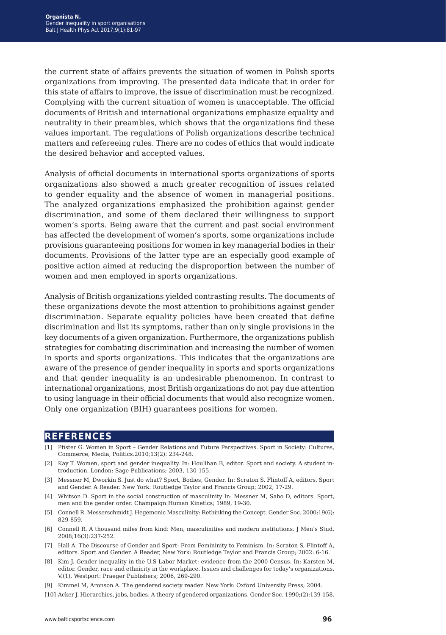the current state of affairs prevents the situation of women in Polish sports organizations from improving. The presented data indicate that in order for this state of affairs to improve, the issue of discrimination must be recognized. Complying with the current situation of women is unacceptable. The official documents of British and international organizations emphasize equality and neutrality in their preambles, which shows that the organizations find these values important. The regulations of Polish organizations describe technical matters and refereeing rules. There are no codes of ethics that would indicate the desired behavior and accepted values.

Analysis of official documents in international sports organizations of sports organizations also showed a much greater recognition of issues related to gender equality and the absence of women in managerial positions. The analyzed organizations emphasized the prohibition against gender discrimination, and some of them declared their willingness to support women's sports. Being aware that the current and past social environment has affected the development of women's sports, some organizations include provisions guaranteeing positions for women in key managerial bodies in their documents. Provisions of the latter type are an especially good example of positive action aimed at reducing the disproportion between the number of women and men employed in sports organizations.

Analysis of British organizations yielded contrasting results. The documents of these organizations devote the most attention to prohibitions against gender discrimination. Separate equality policies have been created that define discrimination and list its symptoms, rather than only single provisions in the key documents of a given organization. Furthermore, the organizations publish strategies for combating discrimination and increasing the number of women in sports and sports organizations. This indicates that the organizations are aware of the presence of gender inequality in sports and sports organizations and that gender inequality is an undesirable phenomenon. In contrast to international organizations, most British organizations do not pay due attention to using language in their official documents that would also recognize women. Only one organization (BIH) guarantees positions for women.

#### **references**

- [1] Pfister G. Women in Sport Gender Relations and Future Perspectives. Sport in Society: Cultures, Commerce, Media, Politics.2010;13(2): 234-248.
- [2] Kay T. Women, sport and gender inequality. In: Houlihan B, editor. Sport and society. A student introduction. London: Sage Publications; 2003, 130-155.
- [3] Messner M, Dworkin S. Just do what? Sport, Bodies, Gender. In: Scraton S, Flintoff A, editors. Sport and Gender. A Reader. New York: Routledge Taylor and Francis Group; 2002, 17-29.
- [4] Whitson D. Sport in the social construction of masculinity In: Messner M, Sabo D, editors. Sport, men and the gender order. Champaign:Human Kinetics; 1989, 19-30.
- [5] Connell R. Messerschmidt J. Hegemonic Masculinity: Rethinking the Concept. Gender Soc. 2000;19(6): 829-859.
- [6] Connell R. A thousand miles from kind: Men, masculinities and modern institutions. J Men's Stud. 2008;16(3):237-252.
- [7] Hall A. The Discourse of Gender and Sport: From Femininity to Feminism. In: Scraton S, Flintoff A, editors. Sport and Gender. A Reader, New York: Routledge Taylor and Francis Group; 2002: 6-16.
- [8] Kim J. Gender inequality in the U.S Labor Market: evidence from the 2000 Census. In: Karsten M, editor. Gender, race and ethnicity in the workplace. Issues and challenges for today's organizations, V.(1), Westport: Praeger Publishers; 2006, 269-290.
- [9] Kimmel M, Aronson A. The gendered society reader. New York: Oxford University Press; 2004.
- [10] Acker J. Hierarchies, jobs, bodies. A theory of gendered organizations. Gender Soc. 1990;(2):139-158.